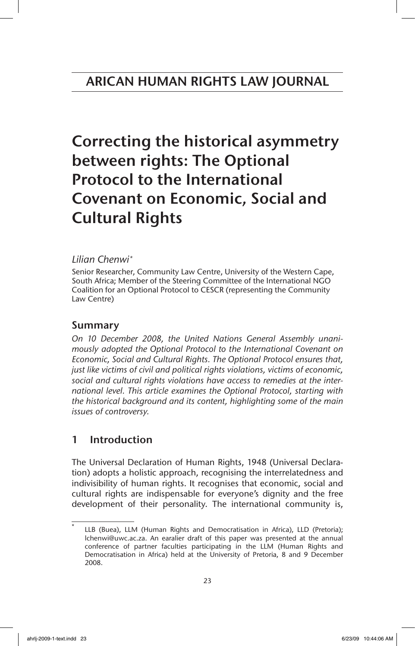Correcting the historical asymmetry between rights: The Optional Protocol to the International Covenant on Economic, Social and Cultural Rights

# *Lilian Chenwi\**

Senior Researcher, Community Law Centre, University of the Western Cape, South Africa; Member of the Steering Committee of the International NGO Coalition for an Optional Protocol to CESCR (representing the Community Law Centre)

# Summary

*On 10 December 2008, the United Nations General Assembly unanimously adopted the Optional Protocol to the International Covenant on Economic, Social and Cultural Rights. The Optional Protocol ensures that, just like victims of civil and political rights violations, victims of economic, social and cultural rights violations have access to remedies at the international level. This article examines the Optional Protocol, starting with the historical background and its content, highlighting some of the main issues of controversy.*

# 1 Introduction

The Universal Declaration of Human Rights, 1948 (Universal Declaration) adopts a holistic approach, recognising the interrelatedness and indivisibility of human rights. It recognises that economic, social and cultural rights are indispensable for everyone's dignity and the free development of their personality. The international community is,

LLB (Buea), LLM (Human Rights and Democratisation in Africa), LLD (Pretoria); lchenwi@uwc.ac.za. An earalier draft of this paper was presented at the annual conference of partner faculties participating in the LLM (Human Rights and Democratisation in Africa) held at the University of Pretoria, 8 and 9 December 2008.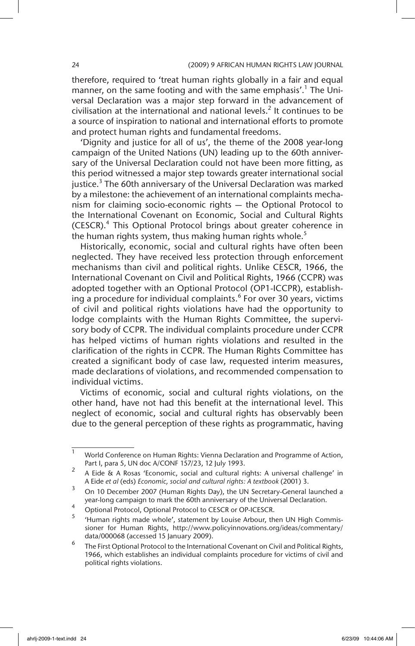therefore, required to 'treat human rights globally in a fair and equal manner, on the same footing and with the same emphasis'.<sup>1</sup> The Universal Declaration was a major step forward in the advancement of civilisation at the international and national levels.<sup>2</sup> It continues to be a source of inspiration to national and international efforts to promote and protect human rights and fundamental freedoms.

'Dignity and justice for all of us', the theme of the 2008 year-long campaign of the United Nations (UN) leading up to the 60th anniversary of the Universal Declaration could not have been more fitting, as this period witnessed a major step towards greater international social justice.<sup>3</sup> The 60th anniversary of the Universal Declaration was marked by a milestone: the achievement of an international complaints mechanism for claiming socio-economic rights — the Optional Protocol to the International Covenant on Economic, Social and Cultural Rights (CESCR).<sup>4</sup> This Optional Protocol brings about greater coherence in the human rights system, thus making human rights whole.<sup>5</sup>

Historically, economic, social and cultural rights have often been neglected. They have received less protection through enforcement mechanisms than civil and political rights. Unlike CESCR, 1966, the International Covenant on Civil and Political Rights, 1966 (CCPR) was adopted together with an Optional Protocol (OP1-ICCPR), establishing a procedure for individual complaints.<sup>6</sup> For over 30 years, victims of civil and political rights violations have had the opportunity to lodge complaints with the Human Rights Committee, the supervisory body of CCPR. The individual complaints procedure under CCPR has helped victims of human rights violations and resulted in the clarification of the rights in CCPR. The Human Rights Committee has created a significant body of case law, requested interim measures, made declarations of violations, and recommended compensation to individual victims.

Victims of economic, social and cultural rights violations, on the other hand, have not had this benefit at the international level. This neglect of economic, social and cultural rights has observably been due to the general perception of these rights as programmatic, having

 $1$  World Conference on Human Rights: Vienna Declaration and Programme of Action, Part I, para 5, UN doc A/CONF 157/23, 12 July 1993.

<sup>2</sup> A Eide & A Rosas 'Economic, social and cultural rights: A universal challenge' in A Eide *et al* (eds) *Economic, social and cultural rights: A textbook* (2001) 3.

<sup>&</sup>lt;sup>3</sup> On 10 December 2007 (Human Rights Day), the UN Secretary-General launched a year-long campaign to mark the 60th anniversary of the Universal Declaration.

<sup>4</sup> Optional Protocol, Optional Protocol to CESCR or OP-ICESCR.

<sup>&#</sup>x27;Human rights made whole', statement by Louise Arbour, then UN High Commissioner for Human Rights, http://www.policyinnovations.org/ideas/commentary/ data/000068 (accessed 15 January 2009).

<sup>6</sup> The First Optional Protocol to the International Covenant on Civil and Political Rights, 1966, which establishes an individual complaints procedure for victims of civil and political rights violations.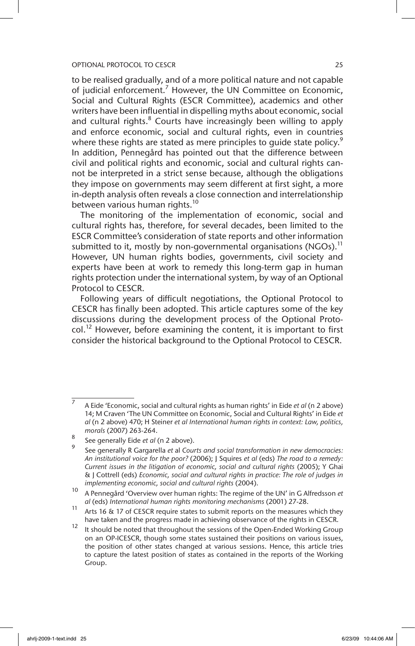to be realised gradually, and of a more political nature and not capable of judicial enforcement.<sup>7</sup> However, the UN Committee on Economic, Social and Cultural Rights (ESCR Committee), academics and other writers have been influential in dispelling myths about economic, social and cultural rights.<sup>8</sup> Courts have increasingly been willing to apply and enforce economic, social and cultural rights, even in countries where these rights are stated as mere principles to quide state policy.<sup>9</sup> In addition, Pennegård has pointed out that the difference between civil and political rights and economic, social and cultural rights cannot be interpreted in a strict sense because, although the obligations they impose on governments may seem different at first sight, a more in-depth analysis often reveals a close connection and interrelationship between various human rights.<sup>10</sup>

The monitoring of the implementation of economic, social and cultural rights has, therefore, for several decades, been limited to the ESCR Committee's consideration of state reports and other information submitted to it, mostly by non-governmental organisations (NGOs).<sup>11</sup> However, UN human rights bodies, governments, civil society and experts have been at work to remedy this long-term gap in human rights protection under the international system, by way of an Optional Protocol to CESCR.

Following years of difficult negotiations, the Optional Protocol to CESCR has finally been adopted. This article captures some of the key discussions during the development process of the Optional Proto $col.^{12}$  However, before examining the content, it is important to first consider the historical background to the Optional Protocol to CESCR.

<sup>7</sup> A Eide 'Economic, social and cultural rights as human rights' in Eide *et al* (n 2 above) 14; M Craven 'The UN Committee on Economic, Social and Cultural Rights' in Eide *et al* (n 2 above) 470; H Steiner *et al International human rights in context: Law, politics, morals* (2007) 263-264.

<sup>8</sup> See generally Eide *et al* (n 2 above).

<sup>9</sup> See generally R Gargarella *et* al *Courts and social transformation in new democracies: An institutional voice for the poor?* (2006); J Squires *et al* (eds) *The road to a remedy: Current issues in the litigation of economic, social and cultural rights* (2005); Y Ghai & J Cottrell (eds) *Economic, social and cultural rights in practice: The role of judges in implementing economic, social and cultural rights* (2004).

<sup>10</sup> A Pennegård 'Overview over human rights: The regime of the UN' in G Alfredsson *et al* (eds) *International human rights monitoring mechanisms* (2001) 27-28.

<sup>11</sup> Arts 16 & 17 of CESCR require states to submit reports on the measures which they have taken and the progress made in achieving observance of the rights in CESCR.

<sup>12</sup> It should be noted that throughout the sessions of the Open-Ended Working Group on an OP-ICESCR, though some states sustained their positions on various issues, the position of other states changed at various sessions. Hence, this article tries to capture the latest position of states as contained in the reports of the Working Group.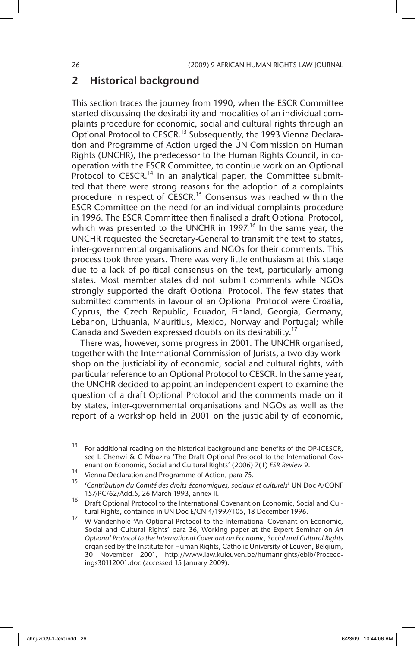# 2 Historical background

This section traces the journey from 1990, when the ESCR Committee started discussing the desirability and modalities of an individual complaints procedure for economic, social and cultural rights through an Optional Protocol to CESCR.<sup>13</sup> Subsequently, the 1993 Vienna Declaration and Programme of Action urged the UN Commission on Human Rights (UNCHR), the predecessor to the Human Rights Council, in cooperation with the ESCR Committee, to continue work on an Optional Protocol to CESCR.<sup>14</sup> In an analytical paper, the Committee submitted that there were strong reasons for the adoption of a complaints procedure in respect of CESCR.15 Consensus was reached within the ESCR Committee on the need for an individual complaints procedure in 1996. The ESCR Committee then finalised a draft Optional Protocol, which was presented to the UNCHR in 1997.<sup>16</sup> In the same year, the UNCHR requested the Secretary-General to transmit the text to states, inter-governmental organisations and NGOs for their comments. This process took three years. There was very little enthusiasm at this stage due to a lack of political consensus on the text, particularly among states. Most member states did not submit comments while NGOs strongly supported the draft Optional Protocol. The few states that submitted comments in favour of an Optional Protocol were Croatia, Cyprus, the Czech Republic, Ecuador, Finland, Georgia, Germany, Lebanon, Lithuania, Mauritius, Mexico, Norway and Portugal; while Canada and Sweden expressed doubts on its desirability.<sup>17</sup>

There was, however, some progress in 2001. The UNCHR organised, together with the International Commission of Jurists, a two-day workshop on the justiciability of economic, social and cultural rights, with particular reference to an Optional Protocol to CESCR. In the same year, the UNCHR decided to appoint an independent expert to examine the question of a draft Optional Protocol and the comments made on it by states, inter-governmental organisations and NGOs as well as the report of a workshop held in 2001 on the justiciability of economic,

<sup>&</sup>lt;sup>13</sup> For additional reading on the historical background and benefits of the OP-ICESCR, see L Chenwi & C Mbazira 'The Draft Optional Protocol to the International Covenant on Economic, Social and Cultural Rights' (2006) 7(1) *ESR Review* 9.

<sup>&</sup>lt;sup>14</sup> Vienna Declaration and Programme of Action, para 75.<br><sup>15</sup> Contribution du Comité des droits économiques essigure

<sup>15</sup> '*Contribution du Comité des droits économiques, sociaux et culturels*' UN Doc A/CONF 157/PC/62/Add.5, 26 March 1993, annex II.

<sup>16</sup> Draft Optional Protocol to the International Covenant on Economic, Social and Cultural Rights, contained in UN Doc E/CN 4/1997/105, 18 December 1996.

<sup>&</sup>lt;sup>17</sup> W Vandenhole 'An Optional Protocol to the International Covenant on Economic, Social and Cultural Rights' para 36, Working paper at the Expert Seminar on *An Optional Protocol to the International Covenant on Economic, Social and Cultural Rights* organised by the Institute for Human Rights, Catholic University of Leuven, Belgium, 30 November 2001, http://www.law.kuleuven.be/humanrights/ebib/Proceedings30112001.doc (accessed 15 January 2009).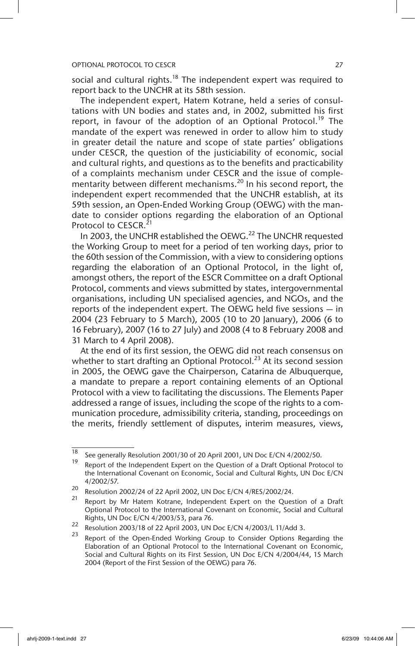social and cultural rights.<sup>18</sup> The independent expert was required to report back to the UNCHR at its 58th session.

The independent expert, Hatem Kotrane, held a series of consultations with UN bodies and states and, in 2002, submitted his first report, in favour of the adoption of an Optional Protocol.<sup>19</sup> The mandate of the expert was renewed in order to allow him to study in greater detail the nature and scope of state parties' obligations under CESCR, the question of the justiciability of economic, social and cultural rights, and questions as to the benefits and practicability of a complaints mechanism under CESCR and the issue of complementarity between different mechanisms.<sup>20</sup> In his second report, the independent expert recommended that the UNCHR establish, at its 59th session, an Open-Ended Working Group (OEWG) with the mandate to consider options regarding the elaboration of an Optional Protocol to CESCR.<sup>21</sup>

In 2003, the UNCHR established the OEWG.<sup>22</sup> The UNCHR requested the Working Group to meet for a period of ten working days, prior to the 60th session of the Commission, with a view to considering options regarding the elaboration of an Optional Protocol, in the light of, amongst others, the report of the ESCR Committee on a draft Optional Protocol, comments and views submitted by states, intergovernmental organisations, including UN specialised agencies, and NGOs, and the reports of the independent expert. The OEWG held five sessions — in 2004 (23 February to 5 March), 2005 (10 to 20 January), 2006 (6 to 16 February), 2007 (16 to 27 July) and 2008 (4 to 8 February 2008 and 31 March to 4 April 2008).

At the end of its first session, the OEWG did not reach consensus on whether to start drafting an Optional Protocol.<sup>23</sup> At its second session in 2005, the OEWG gave the Chairperson, Catarina de Albuquerque, a mandate to prepare a report containing elements of an Optional Protocol with a view to facilitating the discussions. The Elements Paper addressed a range of issues, including the scope of the rights to a communication procedure, admissibility criteria, standing, proceedings on the merits, friendly settlement of disputes, interim measures, views,

<sup>&</sup>lt;sup>18</sup> See generally Resolution 2001/30 of 20 April 2001, UN Doc E/CN 4/2002/50.

Report of the Independent Expert on the Question of a Draft Optional Protocol to the International Covenant on Economic, Social and Cultural Rights, UN Doc E/CN 4/2002/57.

<sup>&</sup>lt;sup>20</sup> Resolution 2002/24 of 22 April 2002, UN Doc E/CN 4/RES/2002/24.

Report by Mr Hatem Kotrane, Independent Expert on the Question of a Draft Optional Protocol to the International Covenant on Economic, Social and Cultural Rights, UN Doc E/CN 4/2003/53, para 76.

<sup>&</sup>lt;sup>22</sup> Resolution 2003/18 of 22 April 2003, UN Doc E/CN 4/2003/L 11/Add 3.

Report of the Open-Ended Working Group to Consider Options Regarding the Elaboration of an Optional Protocol to the International Covenant on Economic, Social and Cultural Rights on its First Session, UN Doc E/CN 4/2004/44, 15 March 2004 (Report of the First Session of the OEWG) para 76.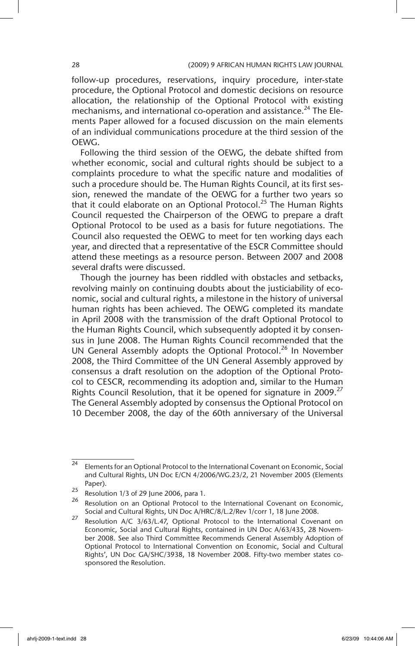follow-up procedures, reservations, inquiry procedure, inter-state procedure, the Optional Protocol and domestic decisions on resource allocation, the relationship of the Optional Protocol with existing mechanisms, and international co-operation and assistance.<sup>24</sup> The Elements Paper allowed for a focused discussion on the main elements of an individual communications procedure at the third session of the OEWG.

Following the third session of the OEWG, the debate shifted from whether economic, social and cultural rights should be subject to a complaints procedure to what the specific nature and modalities of such a procedure should be. The Human Rights Council, at its first session, renewed the mandate of the OEWG for a further two years so that it could elaborate on an Optional Protocol.<sup>25</sup> The Human Rights Council requested the Chairperson of the OEWG to prepare a draft Optional Protocol to be used as a basis for future negotiations. The Council also requested the OEWG to meet for ten working days each year, and directed that a representative of the ESCR Committee should attend these meetings as a resource person. Between 2007 and 2008 several drafts were discussed.

Though the journey has been riddled with obstacles and setbacks, revolving mainly on continuing doubts about the justiciability of economic, social and cultural rights, a milestone in the history of universal human rights has been achieved. The OEWG completed its mandate in April 2008 with the transmission of the draft Optional Protocol to the Human Rights Council, which subsequently adopted it by consensus in June 2008. The Human Rights Council recommended that the UN General Assembly adopts the Optional Protocol.<sup>26</sup> In November 2008, the Third Committee of the UN General Assembly approved by consensus a draft resolution on the adoption of the Optional Protocol to CESCR, recommending its adoption and, similar to the Human Rights Council Resolution, that it be opened for signature in 2009.<sup>27</sup> The General Assembly adopted by consensus the Optional Protocol on 10 December 2008, the day of the 60th anniversary of the Universal

 $\overline{24}$  Elements for an Optional Protocol to the International Covenant on Economic, Social and Cultural Rights, UN Doc E/CN 4/2006/WG.23/2, 21 November 2005 (Elements Paper).

<sup>25</sup> Resolution 1/3 of 29 June 2006, para 1.<br> $\frac{26}{10}$  Resolution on an Optional Protocol to

Resolution on an Optional Protocol to the International Covenant on Economic, Social and Cultural Rights, UN Doc A/HRC/8/L.2/Rev 1/corr 1, 18 June 2008.

<sup>27</sup> Resolution A/C 3/63/L.47, Optional Protocol to the International Covenant on Economic, Social and Cultural Rights, contained in UN Doc A/63/435, 28 November 2008. See also Third Committee Recommends General Assembly Adoption of Optional Protocol to International Convention on Economic, Social and Cultural Rights', UN Doc GA/SHC/3938, 18 November 2008. Fifty-two member states cosponsored the Resolution.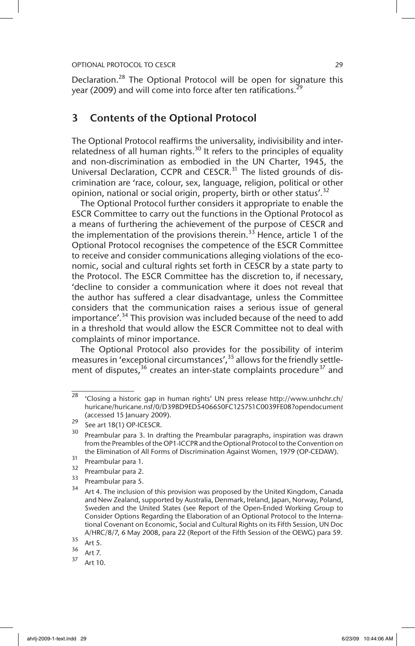Declaration.<sup>28</sup> The Optional Protocol will be open for signature this year (2009) and will come into force after ten ratifications.<sup>29</sup>

# 3 Contents of the Optional Protocol

The Optional Protocol reaffirms the universality, indivisibility and interrelatedness of all human rights.<sup>30</sup> It refers to the principles of equality and non-discrimination as embodied in the UN Charter, 1945, the Universal Declaration, CCPR and CESCR.<sup>31</sup> The listed grounds of discrimination are 'race, colour, sex, language, religion, political or other opinion, national or social origin, property, birth or other status'.<sup>32</sup>

The Optional Protocol further considers it appropriate to enable the ESCR Committee to carry out the functions in the Optional Protocol as a means of furthering the achievement of the purpose of CESCR and the implementation of the provisions therein.<sup>33</sup> Hence, article 1 of the Optional Protocol recognises the competence of the ESCR Committee to receive and consider communications alleging violations of the economic, social and cultural rights set forth in CESCR by a state party to the Protocol. The ESCR Committee has the discretion to, if necessary, 'decline to consider a communication where it does not reveal that the author has suffered a clear disadvantage, unless the Committee considers that the communication raises a serious issue of general importance'.<sup>34</sup> This provision was included because of the need to add in a threshold that would allow the ESCR Committee not to deal with complaints of minor importance.

The Optional Protocol also provides for the possibility of interim measures in 'exceptional circumstances',<sup>35</sup> allows for the friendly settlement of disputes,<sup>36</sup> creates an inter-state complaints procedure<sup>37</sup> and

 $28$  'Closing a historic gap in human rights' UN press release http://www.unhchr.ch/ huricane/huricane.nsf/0/D39BD9ED5406650FC125751C0039FE08?opendocument (accessed 15 January 2009).

 $\frac{29}{30}$  See art 18(1) OP-ICESCR.

Preambular para 3. In drafting the Preambular paragraphs, inspiration was drawn from the Preambles of the OP1-ICCPR and the Optional Protocol to the Convention on the Elimination of All Forms of Discrimination Against Women, 1979 (OP-CEDAW).

 $\frac{31}{32}$  Preambular para 1.

 $\frac{32}{33}$  Preambular para 2.

 $\frac{33}{34}$  Preambular para 5.

Art 4. The inclusion of this provision was proposed by the United Kingdom, Canada and New Zealand, supported by Australia, Denmark, Ireland, Japan, Norway, Poland, Sweden and the United States (see Report of the Open-Ended Working Group to Consider Options Regarding the Elaboration of an Optional Protocol to the International Covenant on Economic, Social and Cultural Rights on its Fifth Session, UN Doc A/HRC/8/7, 6 May 2008, para 22 (Report of the Fifth Session of the OEWG) para 59.

 $\frac{35}{36}$  Art 5.

 $\frac{36}{37}$  Art 7.

Art 10.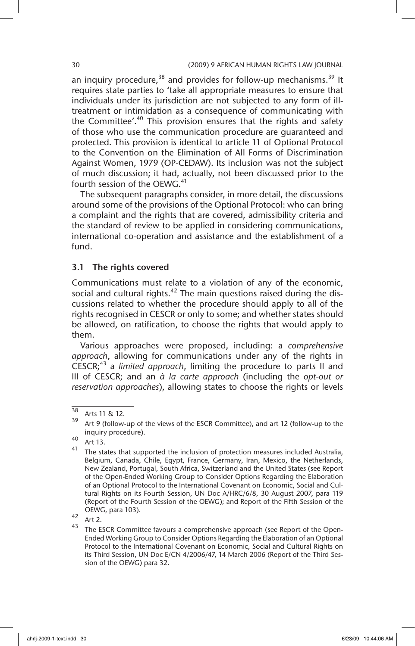an inquiry procedure,  $38$  and provides for follow-up mechanisms.  $39$  It requires state parties to 'take all appropriate measures to ensure that individuals under its jurisdiction are not subjected to any form of illtreatment or intimidation as a consequence of communicating with the Committee'.<sup>40</sup> This provision ensures that the rights and safety of those who use the communication procedure are guaranteed and protected. This provision is identical to article 11 of Optional Protocol to the Convention on the Elimination of All Forms of Discrimination Against Women, 1979 (OP-CEDAW). Its inclusion was not the subject of much discussion; it had, actually, not been discussed prior to the fourth session of the OEWG.<sup>41</sup>

The subsequent paragraphs consider, in more detail, the discussions around some of the provisions of the Optional Protocol: who can bring a complaint and the rights that are covered, admissibility criteria and the standard of review to be applied in considering communications, international co-operation and assistance and the establishment of a fund.

# 3.1 The rights covered

Communications must relate to a violation of any of the economic, social and cultural rights. $42$  The main questions raised during the discussions related to whether the procedure should apply to all of the rights recognised in CESCR or only to some; and whether states should be allowed, on ratification, to choose the rights that would apply to them.

Various approaches were proposed, including: a *comprehensive approach*, allowing for communications under any of the rights in CESCR;<sup>43</sup> a *limited approach*, limiting the procedure to parts II and III of CESCR; and an *à la carte approach* (including the *opt-out or reservation approaches*), allowing states to choose the rights or levels

 $\frac{38}{39}$  Arts 11 & 12.

Art 9 (follow-up of the views of the ESCR Committee), and art 12 (follow-up to the inquiry procedure).

 $40$  Art 13.

 $41$  The states that supported the inclusion of protection measures included Australia, Belgium, Canada, Chile, Egypt, France, Germany, Iran, Mexico, the Netherlands, New Zealand, Portugal, South Africa, Switzerland and the United States (see Report of the Open-Ended Working Group to Consider Options Regarding the Elaboration of an Optional Protocol to the International Covenant on Economic, Social and Cultural Rights on its Fourth Session, UN Doc A/HRC/6/8, 30 August 2007, para 119 (Report of the Fourth Session of the OEWG); and Report of the Fifth Session of the OEWG, para 103).

 $42$  Art 2.

The ESCR Committee favours a comprehensive approach (see Report of the Open-Ended Working Group to Consider Options Regarding the Elaboration of an Optional Protocol to the International Covenant on Economic, Social and Cultural Rights on its Third Session, UN Doc E/CN 4/2006/47, 14 March 2006 (Report of the Third Session of the OEWG) para 32.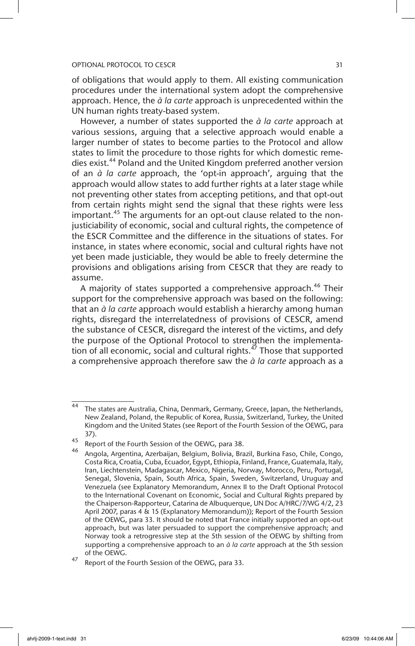of obligations that would apply to them. All existing communication procedures under the international system adopt the comprehensive approach. Hence, the *à la carte* approach is unprecedented within the UN human rights treaty-based system.

However, a number of states supported the *à la carte* approach at various sessions, arguing that a selective approach would enable a larger number of states to become parties to the Protocol and allow states to limit the procedure to those rights for which domestic remedies exist.<sup>44</sup> Poland and the United Kingdom preferred another version of an *à la carte* approach, the 'opt-in approach', arguing that the approach would allow states to add further rights at a later stage while not preventing other states from accepting petitions, and that opt-out from certain rights might send the signal that these rights were less important.<sup>45</sup> The arguments for an opt-out clause related to the nonjusticiability of economic, social and cultural rights, the competence of the ESCR Committee and the difference in the situations of states. For instance, in states where economic, social and cultural rights have not yet been made justiciable, they would be able to freely determine the provisions and obligations arising from CESCR that they are ready to assume.

A majority of states supported a comprehensive approach.<sup>46</sup> Their support for the comprehensive approach was based on the following: that an *à la carte* approach would establish a hierarchy among human rights, disregard the interrelatedness of provisions of CESCR, amend the substance of CESCR, disregard the interest of the victims, and defy the purpose of the Optional Protocol to strengthen the implementation of all economic, social and cultural rights.<sup> $47$ </sup> Those that supported a comprehensive approach therefore saw the *à la carte* approach as a

<sup>44</sup> The states are Australia, China, Denmark, Germany, Greece, Japan, the Netherlands, New Zealand, Poland, the Republic of Korea, Russia, Switzerland, Turkey, the United Kingdom and the United States (see Report of the Fourth Session of the OEWG, para 37).

<sup>45&</sup>lt;br>46 Report of the Fourth Session of the OEWG, para 38.

<sup>46</sup> Angola, Argentina, Azerbaijan, Belgium, Bolivia, Brazil, Burkina Faso, Chile, Congo, Costa Rica, Croatia, Cuba, Ecuador, Egypt, Ethiopia, Finland, France, Guatemala, Italy, Iran, Liechtenstein, Madagascar, Mexico, Nigeria, Norway, Morocco, Peru, Portugal, Senegal, Slovenia, Spain, South Africa, Spain, Sweden, Switzerland, Uruguay and Venezuela (see Explanatory Memorandum, Annex II to the Draft Optional Protocol to the International Covenant on Economic, Social and Cultural Rights prepared by the Chaiperson-Rapporteur, Catarina de Albuquerque, UN Doc A/HRC/7/WG 4/2, 23 April 2007, paras 4 & 15 (Explanatory Memorandum)); Report of the Fourth Session of the OEWG, para 33. It should be noted that France initially supported an opt-out approach, but was later persuaded to support the comprehensive approach; and Norway took a retrogressive step at the 5th session of the OEWG by shifting from supporting a comprehensive approach to an *à la carte* approach at the 5th session of the OEWG.

<sup>&</sup>lt;sup>47</sup> Report of the Fourth Session of the OEWG, para 33.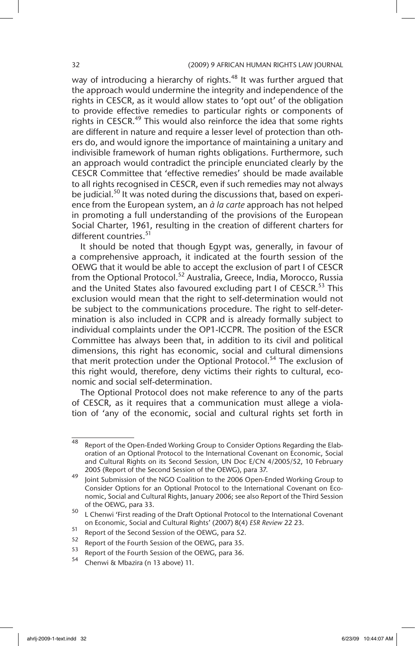way of introducing a hierarchy of rights.<sup>48</sup> It was further argued that the approach would undermine the integrity and independence of the rights in CESCR, as it would allow states to 'opt out' of the obligation to provide effective remedies to particular rights or components of rights in CESCR.<sup>49</sup> This would also reinforce the idea that some rights are different in nature and require a lesser level of protection than others do, and would ignore the importance of maintaining a unitary and indivisible framework of human rights obligations. Furthermore, such an approach would contradict the principle enunciated clearly by the CESCR Committee that 'effective remedies' should be made available to all rights recognised in CESCR, even if such remedies may not always be judicial.<sup>50</sup> It was noted during the discussions that, based on experience from the European system, an *à la carte* approach has not helped in promoting a full understanding of the provisions of the European Social Charter, 1961, resulting in the creation of different charters for different countries.<sup>51</sup>

It should be noted that though Egypt was, generally, in favour of a comprehensive approach, it indicated at the fourth session of the OEWG that it would be able to accept the exclusion of part I of CESCR from the Optional Protocol.<sup>52</sup> Australia, Greece, India, Morocco, Russia and the United States also favoured excluding part I of CESCR.<sup>53</sup> This exclusion would mean that the right to self-determination would not be subject to the communications procedure. The right to self-determination is also included in CCPR and is already formally subject to individual complaints under the OP1-ICCPR. The position of the ESCR Committee has always been that, in addition to its civil and political dimensions, this right has economic, social and cultural dimensions that merit protection under the Optional Protocol.<sup>54</sup> The exclusion of this right would, therefore, deny victims their rights to cultural, economic and social self-determination.

The Optional Protocol does not make reference to any of the parts of CESCR, as it requires that a communication must allege a violation of 'any of the economic, social and cultural rights set forth in

 $\overline{48}$  Report of the Open-Ended Working Group to Consider Options Regarding the Elaboration of an Optional Protocol to the International Covenant on Economic, Social and Cultural Rights on its Second Session, UN Doc E/CN 4/2005/52, 10 February 2005 (Report of the Second Session of the OEWG), para 37.

<sup>49</sup> Joint Submission of the NGO Coalition to the 2006 Open-Ended Working Group to Consider Options for an Optional Protocol to the International Covenant on Economic, Social and Cultural Rights, January 2006; see also Report of the Third Session of the OEWG, para 33.

<sup>50</sup> L Chenwi 'First reading of the Draft Optional Protocol to the International Covenant on Economic, Social and Cultural Rights' (2007) 8(4) *ESR Review* 22 23.

<sup>&</sup>lt;sup>51</sup> Report of the Second Session of the OEWG, para 52.

 $53$  Report of the Fourth Session of the OEWG, para 35.

 $53$  Report of the Fourth Session of the OEWG, para 36.

<sup>54</sup> Chenwi & Mbazira (n 13 above) 11.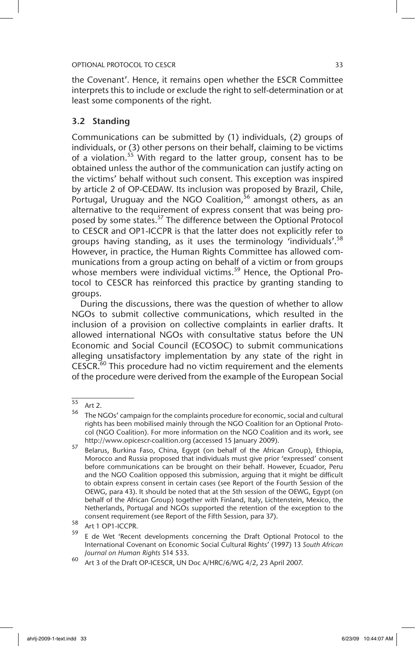the Covenant'. Hence, it remains open whether the ESCR Committee interprets this to include or exclude the right to self-determination or at least some components of the right.

# 3.2 Standing

Communications can be submitted by (1) individuals, (2) groups of individuals, or (3) other persons on their behalf, claiming to be victims of a violation.<sup>55</sup> With regard to the latter group, consent has to be obtained unless the author of the communication can justify acting on the victims' behalf without such consent. This exception was inspired by article 2 of OP-CEDAW. Its inclusion was proposed by Brazil, Chile, Portugal, Uruguay and the NGO Coalition,  $56$  amongst others, as an alternative to the requirement of express consent that was being proposed by some states.<sup>57</sup> The difference between the Optional Protocol to CESCR and OP1-ICCPR is that the latter does not explicitly refer to groups having standing, as it uses the terminology 'individuals'.<sup>58</sup> However, in practice, the Human Rights Committee has allowed communications from a group acting on behalf of a victim or from groups whose members were individual victims.<sup>59</sup> Hence, the Optional Protocol to CESCR has reinforced this practice by granting standing to groups.

During the discussions, there was the question of whether to allow NGOs to submit collective communications, which resulted in the inclusion of a provision on collective complaints in earlier drafts. It allowed international NGOs with consultative status before the UN Economic and Social Council (ECOSOC) to submit communications alleging unsatisfactory implementation by any state of the right in  $CESCR<sub>60</sub>$  This procedure had no victim requirement and the elements of the procedure were derived from the example of the European Social

<sup>55</sup> Art 2.

 $56$  The NGOs' campaign for the complaints procedure for economic, social and cultural rights has been mobilised mainly through the NGO Coalition for an Optional Protocol (NGO Coalition). For more information on the NGO Coalition and its work, see http://www.opicescr-coalition.org (accessed 15 January 2009).

<sup>57</sup> Belarus, Burkina Faso, China, Egypt (on behalf of the African Group), Ethiopia, Morocco and Russia proposed that individuals must give prior 'expressed' consent before communications can be brought on their behalf. However, Ecuador, Peru and the NGO Coalition opposed this submission, arguing that it might be difficult to obtain express consent in certain cases (see Report of the Fourth Session of the OEWG, para 43). It should be noted that at the 5th session of the OEWG, Egypt (on behalf of the African Group) together with Finland, Italy, Lichtenstein, Mexico, the Netherlands, Portugal and NGOs supported the retention of the exception to the consent requirement (see Report of the Fifth Session, para 37).

 $58$  Art 1 OP1-ICCPR.<br> $59$  F 1: M/1 (Recon

<sup>59</sup> E de Wet 'Recent developments concerning the Draft Optional Protocol to the International Covenant on Economic Social Cultural Rights' (1997) 13 *South African Journal on Human Rights* 514 533.

<sup>60</sup> Art 3 of the Draft OP-ICESCR, UN Doc A/HRC/6/WG 4/2, 23 April 2007.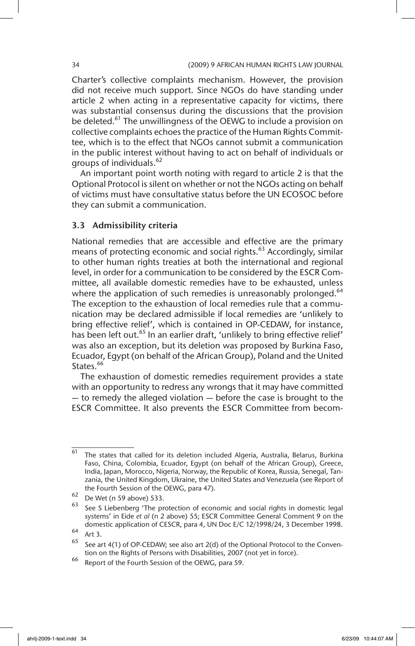Charter's collective complaints mechanism. However, the provision did not receive much support. Since NGOs do have standing under article 2 when acting in a representative capacity for victims, there was substantial consensus during the discussions that the provision be deleted.<sup>61</sup> The unwillingness of the OEWG to include a provision on collective complaints echoes the practice of the Human Rights Committee, which is to the effect that NGOs cannot submit a communication in the public interest without having to act on behalf of individuals or groups of individuals.<sup>62</sup>

An important point worth noting with regard to article 2 is that the Optional Protocol is silent on whether or not the NGOs acting on behalf of victims must have consultative status before the UN ECOSOC before they can submit a communication.

# 3.3 Admissibility criteria

National remedies that are accessible and effective are the primary means of protecting economic and social rights.<sup>63</sup> Accordingly, similar to other human rights treaties at both the international and regional level, in order for a communication to be considered by the ESCR Committee, all available domestic remedies have to be exhausted, unless where the application of such remedies is unreasonably prolonged.<sup>64</sup> The exception to the exhaustion of local remedies rule that a communication may be declared admissible if local remedies are 'unlikely to bring effective relief', which is contained in OP-CEDAW, for instance, has been left out.<sup>65</sup> In an earlier draft, 'unlikely to bring effective relief' was also an exception, but its deletion was proposed by Burkina Faso, Ecuador, Egypt (on behalf of the African Group), Poland and the United States.<sup>66</sup>

The exhaustion of domestic remedies requirement provides a state with an opportunity to redress any wrongs that it may have committed — to remedy the alleged violation — before the case is brought to the ESCR Committee. It also prevents the ESCR Committee from becom-

<sup>61</sup> The states that called for its deletion included Algeria, Australia, Belarus, Burkina Faso, China, Colombia, Ecuador, Egypt (on behalf of the African Group), Greece, India, Japan, Morocco, Nigeria, Norway, the Republic of Korea, Russia, Senegal, Tanzania, the United Kingdom, Ukraine, the United States and Venezuela (see Report of the Fourth Session of the OEWG, para 47).

<sup>62</sup> De Wet (n 59 above) 533.

 $63$  See S Liebenberg 'The protection of economic and social rights in domestic legal systems' in Eide *et al* (n 2 above) 55; ESCR Committee General Comment 9 on the domestic application of CESCR, para 4, UN Doc E/C 12/1998/24, 3 December 1998.

 $64$  Art 3.

<sup>65</sup> See art 4(1) of OP-CEDAW; see also art 2(d) of the Optional Protocol to the Convention on the Rights of Persons with Disabilities, 2007 (not yet in force).

<sup>66</sup> Report of the Fourth Session of the OEWG, para 59.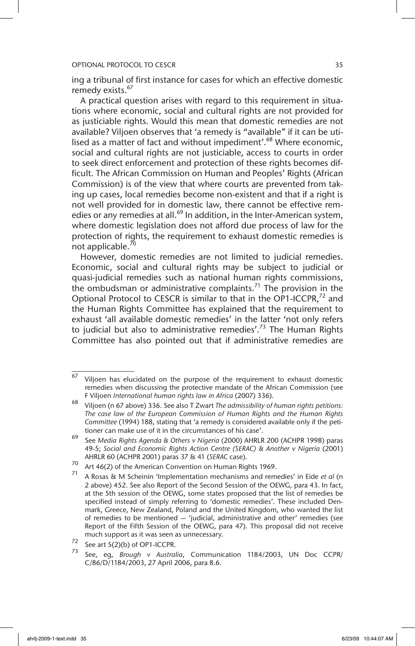ing a tribunal of first instance for cases for which an effective domestic remedy exists.<sup>67</sup>

A practical question arises with regard to this requirement in situations where economic, social and cultural rights are not provided for as justiciable rights. Would this mean that domestic remedies are not available? Viljoen observes that 'a remedy is "available" if it can be utilised as a matter of fact and without impediment'.<sup>68</sup> Where economic, social and cultural rights are not justiciable, access to courts in order to seek direct enforcement and protection of these rights becomes difficult. The African Commission on Human and Peoples' Rights (African Commission) is of the view that where courts are prevented from taking up cases, local remedies become non-existent and that if a right is not well provided for in domestic law, there cannot be effective remedies or any remedies at all.<sup>69</sup> In addition, in the Inter-American system, where domestic legislation does not afford due process of law for the protection of rights, the requirement to exhaust domestic remedies is not applicable.<sup>70</sup>

However, domestic remedies are not limited to judicial remedies. Economic, social and cultural rights may be subject to judicial or quasi-judicial remedies such as national human rights commissions, the ombudsman or administrative complaints.<sup>71</sup> The provision in the Optional Protocol to CESCR is similar to that in the OP1-ICCPR,<sup>72</sup> and the Human Rights Committee has explained that the requirement to exhaust 'all available domestic remedies' in the latter 'not only refers to judicial but also to administrative remedies'.<sup>73</sup> The Human Rights Committee has also pointed out that if administrative remedies are

 $67$  Viljoen has elucidated on the purpose of the requirement to exhaust domestic remedies when discussing the protective mandate of the African Commission (see F Viljoen *International human rights law in Africa* (2007) 336).

<sup>68</sup> Viljoen (n 67 above) 336. See also T Zwart *The admissibility of human rights petitions: The case law of the European Commission of Human Rights and the Human Rights Committee* (1994) 188, stating that 'a remedy is considered available only if the petitioner can make use of it in the circumstances of his case'.

<sup>69</sup> See *Media Rights Agenda & Others v Nigeria* (2000) AHRLR 200 (ACHPR 1998) paras 49-5; *Social and Economic Rights Action Centre (SERAC) & Another v Nigeria* (2001) AHRLR 60 (ACHPR 2001) paras 37 & 41 (*SERAC* case).

<sup>70</sup> Art 46(2) of the American Convention on Human Rights 1969.

<sup>71</sup> A Rosas & M Scheinin 'Implementation mechanisms and remedies' in Eide *et al* (n 2 above) 452. See also Report of the Second Session of the OEWG, para 43. In fact, at the 5th session of the OEWG, some states proposed that the list of remedies be specified instead of simply referring to 'domestic remedies'. These included Denmark, Greece, New Zealand, Poland and the United Kingdom, who wanted the list of remedies to be mentioned — 'judicial, administrative and other' remedies (see Report of the Fifth Session of the OEWG, para 47). This proposal did not receive much support as it was seen as unnecessary.

 $72$  See art  $5(2)$ (b) of OP1-ICCPR.

<sup>73</sup> See, eg, *Brough v Australia*, Communication 1184/2003, UN Doc CCPR/ C/86/D/1184/2003, 27 April 2006, para 8.6.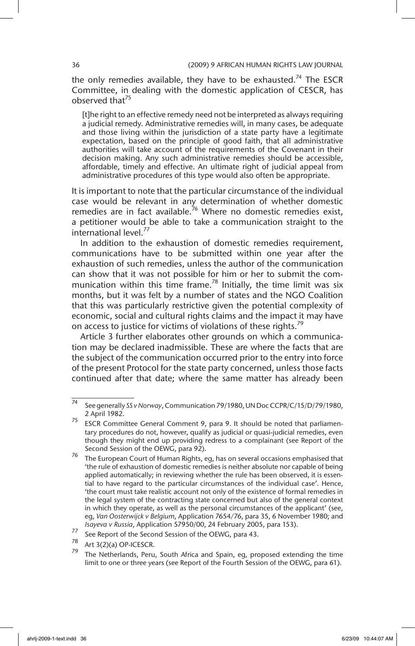the only remedies available, they have to be exhausted.<sup>74</sup> The ESCR Committee, in dealing with the domestic application of CESCR, has observed that $^{75}$ 

[t]he right to an effective remedy need not be interpreted as always requiring a judicial remedy. Administrative remedies will, in many cases, be adequate and those living within the jurisdiction of a state party have a legitimate expectation, based on the principle of good faith, that all administrative authorities will take account of the requirements of the Covenant in their decision making. Any such administrative remedies should be accessible, affordable, timely and effective. An ultimate right of judicial appeal from administrative procedures of this type would also often be appropriate.

It is important to note that the particular circumstance of the individual case would be relevant in any determination of whether domestic remedies are in fact available.<sup>76</sup> Where no domestic remedies exist, a petitioner would be able to take a communication straight to the international level.<sup>77</sup>

In addition to the exhaustion of domestic remedies requirement, communications have to be submitted within one year after the exhaustion of such remedies, unless the author of the communication can show that it was not possible for him or her to submit the communication within this time frame.<sup>78</sup> Initially, the time limit was six months, but it was felt by a number of states and the NGO Coalition that this was particularly restrictive given the potential complexity of economic, social and cultural rights claims and the impact it may have on access to justice for victims of violations of these rights.<sup>79</sup>

Article 3 further elaborates other grounds on which a communication may be declared inadmissible. These are where the facts that are the subject of the communication occurred prior to the entry into force of the present Protocol for the state party concerned, unless those facts continued after that date; where the same matter has already been

<sup>74</sup> See generally *SS v Norway*, Communication 79/1980, UN Doc CCPR/C/15/D/79/1980, 2 April 1982.

<sup>&</sup>lt;sup>75</sup> ESCR Committee General Comment 9, para 9. It should be noted that parliamentary procedures do not, however, qualify as judicial or quasi-judicial remedies, even though they might end up providing redress to a complainant (see Report of the Second Session of the OEWG, para 92).

 $76$  The European Court of Human Rights, eg, has on several occasions emphasised that 'the rule of exhaustion of domestic remedies is neither absolute nor capable of being applied automatically; in reviewing whether the rule has been observed, it is essential to have regard to the particular circumstances of the individual case'. Hence, 'the court must take realistic account not only of the existence of formal remedies in the legal system of the contracting state concerned but also of the general context in which they operate, as well as the personal circumstances of the applicant' (see, eg, *Van Oosterwijck v Belgium*, Application 7654*/*76, para 35, 6 November 1980; and *Isayeva v Russia*, Application 57950/00, 24 February 2005, para 153).

<sup>77</sup> See Report of the Second Session of the OEWG, para 43.

Art 3(2)(a) OP-ICESCR.

The Netherlands, Peru, South Africa and Spain, eg, proposed extending the time limit to one or three years (see Report of the Fourth Session of the OEWG, para 61).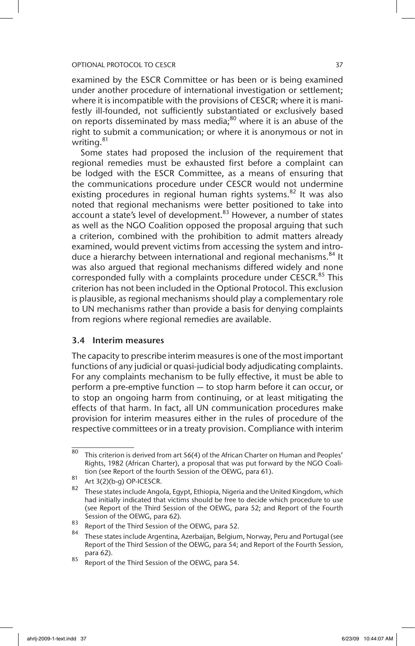## OPTIONAL PROTOCOL TO CESCR AND A SERIES AND THE STATE STATE STATE STATE STATE STATE STATE STATE STATE STATE ST

examined by the ESCR Committee or has been or is being examined under another procedure of international investigation or settlement; where it is incompatible with the provisions of CESCR; where it is manifestly ill-founded, not sufficiently substantiated or exclusively based on reports disseminated by mass media; $^{80}$  where it is an abuse of the right to submit a communication; or where it is anonymous or not in writing.<sup>81</sup>

Some states had proposed the inclusion of the requirement that regional remedies must be exhausted first before a complaint can be lodged with the ESCR Committee, as a means of ensuring that the communications procedure under CESCR would not undermine existing procedures in regional human rights systems.<sup>82</sup> It was also noted that regional mechanisms were better positioned to take into account a state's level of development.<sup>83</sup> However, a number of states as well as the NGO Coalition opposed the proposal arguing that such a criterion, combined with the prohibition to admit matters already examined, would prevent victims from accessing the system and introduce a hierarchy between international and regional mechanisms.<sup>84</sup> It was also argued that regional mechanisms differed widely and none corresponded fully with a complaints procedure under CESCR.<sup>85</sup> This criterion has not been included in the Optional Protocol. This exclusion is plausible, as regional mechanisms should play a complementary role to UN mechanisms rather than provide a basis for denying complaints from regions where regional remedies are available.

## 3.4 Interim measures

The capacity to prescribe interim measures is one of the most important functions of any judicial or quasi-judicial body adjudicating complaints. For any complaints mechanism to be fully effective, it must be able to perform a pre-emptive function — to stop harm before it can occur, or to stop an ongoing harm from continuing, or at least mitigating the effects of that harm. In fact, all UN communication procedures make provision for interim measures either in the rules of procedure of the respective committees or in a treaty provision. Compliance with interim

 $80$  This criterion is derived from art 56(4) of the African Charter on Human and Peoples' Rights, 1982 (African Charter), a proposal that was put forward by the NGO Coalition (see Report of the fourth Session of the OEWG, para 61).

<sup>81</sup> Art  $3(2)(b-g)$  OP-ICESCR.

These states include Angola, Egypt, Ethiopia, Nigeria and the United Kingdom, which had initially indicated that victims should be free to decide which procedure to use (see Report of the Third Session of the OEWG, para 52; and Report of the Fourth Session of the OEWG, para 62).

 $\frac{83}{84}$  Report of the Third Session of the OEWG, para 52.

These states include Argentina, Azerbaijan, Belgium, Norway, Peru and Portugal (see Report of the Third Session of the OEWG, para 54; and Report of the Fourth Session, para 62).

 $85$  Report of the Third Session of the OEWG, para 54.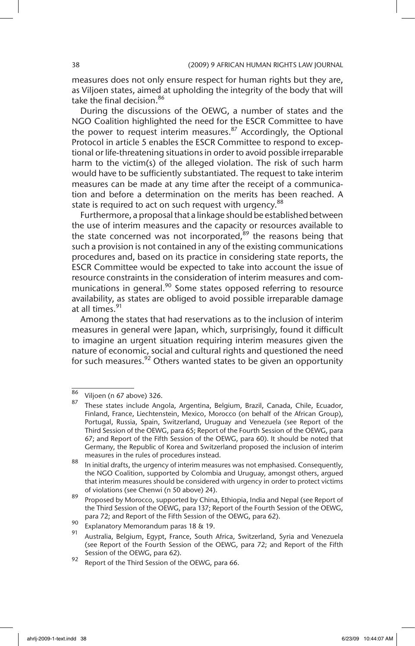measures does not only ensure respect for human rights but they are, as Viljoen states, aimed at upholding the integrity of the body that will take the final decision.<sup>86</sup>

During the discussions of the OEWG, a number of states and the NGO Coalition highlighted the need for the ESCR Committee to have the power to request interim measures. $87$  Accordingly, the Optional Protocol in article 5 enables the ESCR Committee to respond to exceptional or life-threatening situations in order to avoid possible irreparable harm to the victim(s) of the alleged violation. The risk of such harm would have to be sufficiently substantiated. The request to take interim measures can be made at any time after the receipt of a communication and before a determination on the merits has been reached. A state is required to act on such request with urgency.<sup>88</sup>

Furthermore, a proposal that a linkage should be established between the use of interim measures and the capacity or resources available to the state concerned was not incorporated, $89$  the reasons being that such a provision is not contained in any of the existing communications procedures and, based on its practice in considering state reports, the ESCR Committee would be expected to take into account the issue of resource constraints in the consideration of interim measures and communications in general.<sup>90</sup> Some states opposed referring to resource availability, as states are obliged to avoid possible irreparable damage at all times.<sup>91</sup>

Among the states that had reservations as to the inclusion of interim measures in general were Japan, which, surprisingly, found it difficult to imagine an urgent situation requiring interim measures given the nature of economic, social and cultural rights and questioned the need for such measures.  $92$  Others wanted states to be given an opportunity

 $\frac{86}{87}$  Viljoen (n 67 above) 326.

These states include Angola, Argentina, Belgium, Brazil, Canada, Chile, Ecuador, Finland, France, Liechtenstein, Mexico, Morocco (on behalf of the African Group), Portugal, Russia, Spain, Switzerland, Uruguay and Venezuela (see Report of the Third Session of the OEWG, para 65; Report of the Fourth Session of the OEWG, para 67; and Report of the Fifth Session of the OEWG, para 60). It should be noted that Germany, the Republic of Korea and Switzerland proposed the inclusion of interim measures in the rules of procedures instead.

<sup>88</sup> In initial drafts, the urgency of interim measures was not emphasised. Consequently, the NGO Coalition, supported by Colombia and Uruguay, amongst others, argued that interim measures should be considered with urgency in order to protect victims of violations (see Chenwi (n 50 above) 24).

<sup>89</sup> Proposed by Morocco, supported by China, Ethiopia, India and Nepal (see Report of the Third Session of the OEWG, para 137; Report of the Fourth Session of the OEWG, para 72; and Report of the Fifth Session of the OEWG, para 62).

<sup>90</sup> Explanatory Memorandum paras 18 & 19.

Australia, Belgium, Egypt, France, South Africa, Switzerland, Syria and Venezuela (see Report of the Fourth Session of the OEWG, para 72; and Report of the Fifth Session of the OEWG, para 62).

<sup>92</sup> Report of the Third Session of the OEWG, para 66.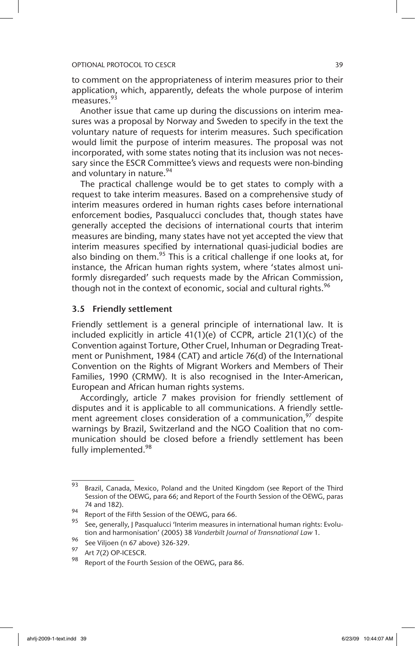to comment on the appropriateness of interim measures prior to their application, which, apparently, defeats the whole purpose of interim measures.<sup>93</sup>

Another issue that came up during the discussions on interim measures was a proposal by Norway and Sweden to specify in the text the voluntary nature of requests for interim measures. Such specification would limit the purpose of interim measures. The proposal was not incorporated, with some states noting that its inclusion was not necessary since the ESCR Committee's views and requests were non-binding and voluntary in nature.<sup>94</sup>

The practical challenge would be to get states to comply with a request to take interim measures. Based on a comprehensive study of interim measures ordered in human rights cases before international enforcement bodies, Pasqualucci concludes that, though states have generally accepted the decisions of international courts that interim measures are binding, many states have not yet accepted the view that interim measures specified by international quasi-judicial bodies are also binding on them.<sup>95</sup> This is a critical challenge if one looks at, for instance, the African human rights system, where 'states almost uniformly disregarded' such requests made by the African Commission, though not in the context of economic, social and cultural rights.<sup>96</sup>

# 3.5 Friendly settlement

Friendly settlement is a general principle of international law. It is included explicitly in article 41(1)(e) of CCPR, article 21(1)(c) of the Convention against Torture, Other Cruel, Inhuman or Degrading Treatment or Punishment, 1984 (CAT) and article 76(d) of the International Convention on the Rights of Migrant Workers and Members of Their Families, 1990 (CRMW). It is also recognised in the Inter-American, European and African human rights systems.

Accordingly, article 7 makes provision for friendly settlement of disputes and it is applicable to all communications. A friendly settlement agreement closes consideration of a communication,  $97$  despite warnings by Brazil, Switzerland and the NGO Coalition that no communication should be closed before a friendly settlement has been fully implemented.<sup>98</sup>

 $\frac{1}{93}$  Brazil, Canada, Mexico, Poland and the United Kingdom (see Report of the Third Session of the OEWG, para 66; and Report of the Fourth Session of the OEWG, paras 74 and 182).

<sup>94</sup> Report of the Fifth Session of the OEWG, para 66.

<sup>95</sup> See, generally, J Pasqualucci 'Interim measures in international human rights: Evolution and harmonisation' (2005) 38 *Vanderbilt Journal of Transnational Law* 1.

<sup>96</sup> See Viljoen (n 67 above) 326-329.

 $^{97}$  Art 7(2) OP-ICESCR.

Report of the Fourth Session of the OEWG, para 86.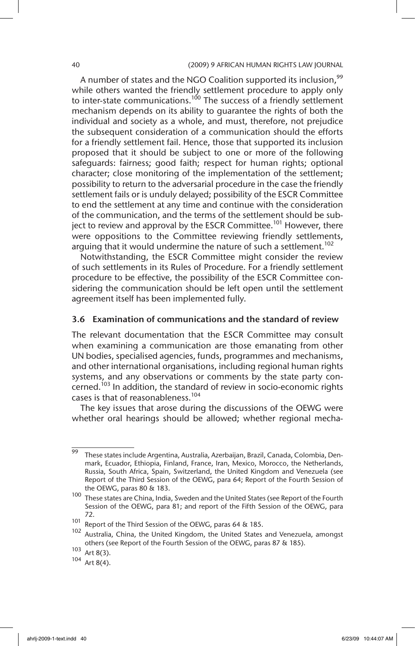A number of states and the NGO Coalition supported its inclusion,<sup>99</sup> while others wanted the friendly settlement procedure to apply only to inter-state communications.<sup>100</sup> The success of a friendly settlement mechanism depends on its ability to guarantee the rights of both the individual and society as a whole, and must, therefore, not prejudice the subsequent consideration of a communication should the efforts for a friendly settlement fail. Hence, those that supported its inclusion proposed that it should be subject to one or more of the following safeguards: fairness; good faith; respect for human rights; optional character; close monitoring of the implementation of the settlement; possibility to return to the adversarial procedure in the case the friendly settlement fails or is unduly delayed; possibility of the ESCR Committee to end the settlement at any time and continue with the consideration of the communication, and the terms of the settlement should be subject to review and approval by the ESCR Committee.<sup>101</sup> However, there were oppositions to the Committee reviewing friendly settlements, arguing that it would undermine the nature of such a settlement.<sup>102</sup>

Notwithstanding, the ESCR Committee might consider the review of such settlements in its Rules of Procedure. For a friendly settlement procedure to be effective, the possibility of the ESCR Committee considering the communication should be left open until the settlement agreement itself has been implemented fully.

# 3.6 Examination of communications and the standard of review

The relevant documentation that the ESCR Committee may consult when examining a communication are those emanating from other UN bodies, specialised agencies, funds, programmes and mechanisms, and other international organisations, including regional human rights systems, and any observations or comments by the state party concerned.<sup>103</sup> In addition, the standard of review in socio-economic rights cases is that of reasonableness.<sup>104</sup>

The key issues that arose during the discussions of the OEWG were whether oral hearings should be allowed; whether regional mecha-

<sup>99</sup> These states include Argentina, Australia, Azerbaijan, Brazil, Canada, Colombia, Denmark, Ecuador, Ethiopia, Finland, France, Iran, Mexico, Morocco, the Netherlands, Russia, South Africa, Spain, Switzerland, the United Kingdom and Venezuela (see Report of the Third Session of the OEWG, para 64; Report of the Fourth Session of the OEWG, paras 80 & 183.

<sup>&</sup>lt;sup>100</sup> These states are China, India, Sweden and the United States (see Report of the Fourth Session of the OEWG, para 81; and report of the Fifth Session of the OEWG, para 72.

<sup>101</sup> Percent of the Third Session of the OEWG, paras 64 & 185.

<sup>&</sup>lt;sup>102</sup> Australia, China, the United Kingdom, the United States and Venezuela, amongst others (see Report of the Fourth Session of the OEWG, paras 87 & 185).

 $103$  Art 8(3).

Art  $8(4)$ .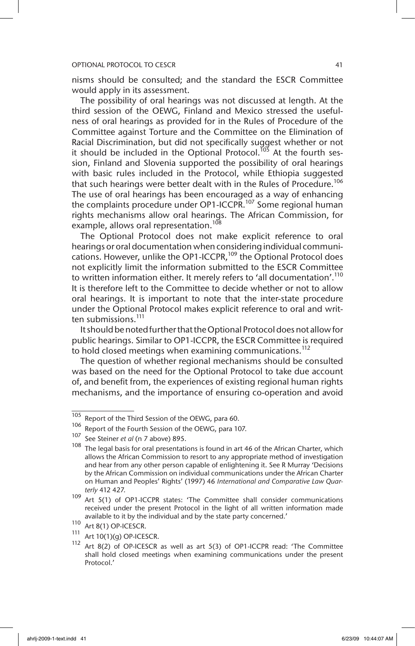## OPTIONAL PROTOCOL TO CESCR **AND IN THE SECTION 41**

nisms should be consulted; and the standard the ESCR Committee would apply in its assessment.

The possibility of oral hearings was not discussed at length. At the third session of the OEWG, Finland and Mexico stressed the usefulness of oral hearings as provided for in the Rules of Procedure of the Committee against Torture and the Committee on the Elimination of Racial Discrimination, but did not specifically suggest whether or not it should be included in the Optional Protocol.<sup>105</sup> At the fourth session, Finland and Slovenia supported the possibility of oral hearings with basic rules included in the Protocol, while Ethiopia suggested that such hearings were better dealt with in the Rules of Procedure.<sup>106</sup> The use of oral hearings has been encouraged as a way of enhancing the complaints procedure under OP1-ICCPR.<sup>107</sup> Some regional human rights mechanisms allow oral hearings. The African Commission, for example, allows oral representation.<sup>108</sup>

The Optional Protocol does not make explicit reference to oral hearings or oral documentation when considering individual communications. However, unlike the OP1-ICCPR,<sup>109</sup> the Optional Protocol does not explicitly limit the information submitted to the ESCR Committee to written information either. It merely refers to 'all documentation'.<sup>110</sup> It is therefore left to the Committee to decide whether or not to allow oral hearings. It is important to note that the inter-state procedure under the Optional Protocol makes explicit reference to oral and written submissions.<sup>111</sup>

It should be noted further that the Optional Protocol does not allow for public hearings. Similar to OP1-ICCPR, the ESCR Committee is required to hold closed meetings when examining communications.<sup>112</sup>

The question of whether regional mechanisms should be consulted was based on the need for the Optional Protocol to take due account of, and benefit from, the experiences of existing regional human rights mechanisms, and the importance of ensuring co-operation and avoid

<sup>105</sup> Report of the Third Session of the OEWG, para 60.

<sup>106</sup> Report of the Fourth Session of the OEWG, para 107.

See Steiner *et al* (n 7 above) 895.

 $108$  The legal basis for oral presentations is found in art 46 of the African Charter, which allows the African Commission to resort to any appropriate method of investigation and hear from any other person capable of enlightening it. See R Murray 'Decisions by the African Commission on individual communications under the African Charter on Human and Peoples' Rights' (1997) 46 *International and Comparative Law Quarterly* 412 427.

 $109$  Art  $5(1)$  of OP1-ICCPR states: 'The Committee shall consider communications received under the present Protocol in the light of all written information made available to it by the individual and by the state party concerned.'

<sup>110</sup> Art 8(1) OP-ICESCR.

<sup>&</sup>lt;sup>111</sup> Art 10(1)(g) OP-ICESCR.<br><sup>112</sup> Art 8(3) of OB ICESCR.

Art 8(2) of OP-ICESCR as well as art 5(3) of OP1-ICCPR read: 'The Committee shall hold closed meetings when examining communications under the present Protocol.'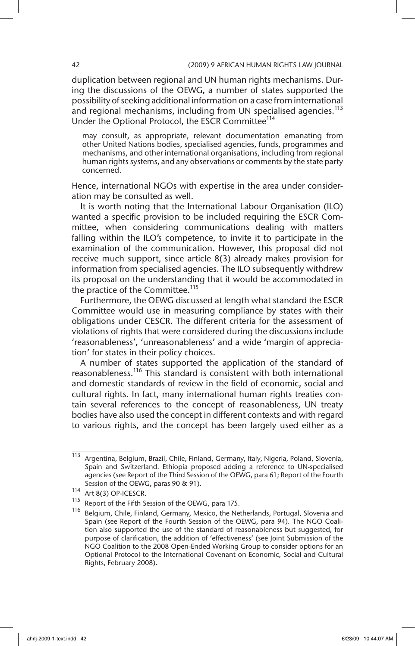duplication between regional and UN human rights mechanisms. During the discussions of the OEWG, a number of states supported the possibility of seeking additional information on a case from international and regional mechanisms, including from UN specialised agencies.<sup>113</sup> Under the Optional Protocol, the ESCR Committee<sup>114</sup>

may consult, as appropriate, relevant documentation emanating from other United Nations bodies, specialised agencies, funds, programmes and mechanisms, and other international organisations, including from regional human rights systems, and any observations or comments by the state party concerned.

Hence, international NGOs with expertise in the area under consideration may be consulted as well.

It is worth noting that the International Labour Organisation (ILO) wanted a specific provision to be included requiring the ESCR Committee, when considering communications dealing with matters falling within the ILO's competence, to invite it to participate in the examination of the communication. However, this proposal did not receive much support, since article 8(3) already makes provision for information from specialised agencies. The ILO subsequently withdrew its proposal on the understanding that it would be accommodated in the practice of the Committee.<sup>115</sup>

Furthermore, the OEWG discussed at length what standard the ESCR Committee would use in measuring compliance by states with their obligations under CESCR. The different criteria for the assessment of violations of rights that were considered during the discussions include 'reasonableness', 'unreasonableness' and a wide 'margin of appreciation' for states in their policy choices.

A number of states supported the application of the standard of reasonableness.116 This standard is consistent with both international and domestic standards of review in the field of economic, social and cultural rights. In fact, many international human rights treaties contain several references to the concept of reasonableness, UN treaty bodies have also used the concept in different contexts and with regard to various rights, and the concept has been largely used either as a

 $\frac{113}{113}$  Argentina, Belgium, Brazil, Chile, Finland, Germany, Italy, Nigeria, Poland, Slovenia, Spain and Switzerland. Ethiopia proposed adding a reference to UN-specialised agencies (see Report of the Third Session of the OEWG, para 61; Report of the Fourth Session of the OEWG, paras 90 & 91).

<sup>114</sup> Art 8(3) OP-ICESCR.

<sup>115</sup> Report of the Fifth Session of the OEWG, para 175.

<sup>116</sup> Belgium, Chile, Finland, Germany, Mexico, the Netherlands, Portugal, Slovenia and Spain (see Report of the Fourth Session of the OEWG, para 94). The NGO Coalition also supported the use of the standard of reasonableness but suggested, for purpose of clarification, the addition of 'effectiveness' (see Joint Submission of the NGO Coalition to the 2008 Open-Ended Working Group to consider options for an Optional Protocol to the International Covenant on Economic, Social and Cultural Rights, February 2008).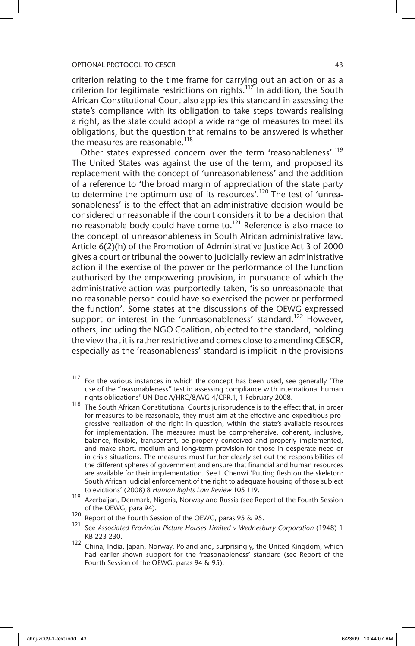criterion relating to the time frame for carrying out an action or as a criterion for legitimate restrictions on rights.<sup>117</sup> In addition, the South African Constitutional Court also applies this standard in assessing the state's compliance with its obligation to take steps towards realising a right, as the state could adopt a wide range of measures to meet its obligations, but the question that remains to be answered is whether the measures are reasonable.<sup>118</sup>

Other states expressed concern over the term 'reasonableness'.<sup>119</sup> The United States was against the use of the term, and proposed its replacement with the concept of 'unreasonableness' and the addition of a reference to 'the broad margin of appreciation of the state party to determine the optimum use of its resources'.<sup>120</sup> The test of 'unreasonableness' is to the effect that an administrative decision would be considered unreasonable if the court considers it to be a decision that no reasonable body could have come to.<sup>121</sup> Reference is also made to the concept of unreasonableness in South African administrative law. Article 6(2)(h) of the Promotion of Administrative Justice Act 3 of 2000 gives a court or tribunal the power to judicially review an administrative action if the exercise of the power or the performance of the function authorised by the empowering provision, in pursuance of which the administrative action was purportedly taken, 'is so unreasonable that no reasonable person could have so exercised the power or performed the function'. Some states at the discussions of the OEWG expressed support or interest in the 'unreasonableness' standard.<sup>122</sup> However, others, including the NGO Coalition, objected to the standard, holding the view that it is rather restrictive and comes close to amending CESCR, especially as the 'reasonableness' standard is implicit in the provisions

 $\frac{117}{117}$  For the various instances in which the concept has been used, see generally 'The use of the "reasonableness" test in assessing compliance with international human rights obligations' UN Doc A/HRC/8/WG 4/CPR.1, 1 February 2008.

<sup>118</sup> The South African Constitutional Court's jurisprudence is to the effect that, in order for measures to be reasonable, they must aim at the effective and expeditious progressive realisation of the right in question, within the state's available resources for implementation. The measures must be comprehensive, coherent, inclusive, balance, flexible, transparent, be properly conceived and properly implemented, and make short, medium and long-term provision for those in desperate need or in crisis situations. The measures must further clearly set out the responsibilities of the different spheres of government and ensure that financial and human resources are available for their implementation. See L Chenwi 'Putting flesh on the skeleton: South African judicial enforcement of the right to adequate housing of those subject to evictions' (2008) 8 *Human Rights Law Review* 105 119.

<sup>119</sup> Azerbaijan, Denmark, Nigeria, Norway and Russia (see Report of the Fourth Session of the OEWG, para 94).

<sup>120</sup> Report of the Fourth Session of the OEWG, paras 95 & 95.

<sup>121</sup> See *Associated Provincial Picture Houses Limited v Wednesbury Corporation* (1948) 1 KB 223 230.

 $122$  China, India, Japan, Norway, Poland and, surprisingly, the United Kingdom, which had earlier shown support for the 'reasonableness' standard (see Report of the Fourth Session of the OEWG, paras 94 & 95).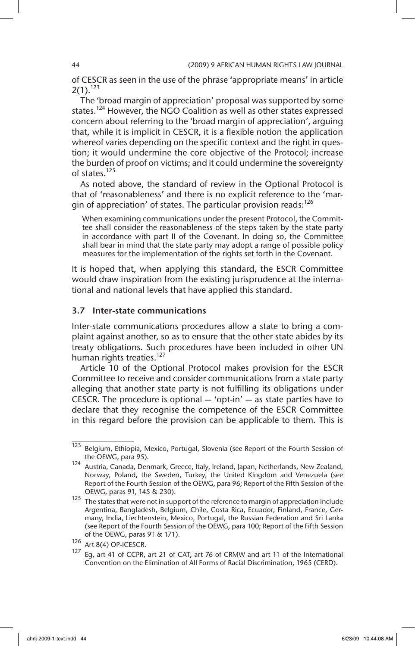of CESCR as seen in the use of the phrase 'appropriate means' in article  $2(1).^{123}$ 

The 'broad margin of appreciation' proposal was supported by some states.<sup>124</sup> However, the NGO Coalition as well as other states expressed concern about referring to the 'broad margin of appreciation', arguing that, while it is implicit in CESCR, it is a flexible notion the application whereof varies depending on the specific context and the right in question; it would undermine the core objective of the Protocol; increase the burden of proof on victims; and it could undermine the sovereignty of states.<sup>125</sup>

As noted above, the standard of review in the Optional Protocol is that of 'reasonableness' and there is no explicit reference to the 'margin of appreciation' of states. The particular provision reads: $126$ 

When examining communications under the present Protocol, the Committee shall consider the reasonableness of the steps taken by the state party in accordance with part II of the Covenant. In doing so, the Committee shall bear in mind that the state party may adopt a range of possible policy measures for the implementation of the rights set forth in the Covenant.

It is hoped that, when applying this standard, the ESCR Committee would draw inspiration from the existing jurisprudence at the international and national levels that have applied this standard.

## 3.7 Inter-state communications

Inter-state communications procedures allow a state to bring a complaint against another, so as to ensure that the other state abides by its treaty obligations. Such procedures have been included in other UN human rights treaties.<sup>127</sup>

Article 10 of the Optional Protocol makes provision for the ESCR Committee to receive and consider communications from a state party alleging that another state party is not fulfilling its obligations under CESCR. The procedure is optional  $-$  'opt-in'  $-$  as state parties have to declare that they recognise the competence of the ESCR Committee in this regard before the provision can be applicable to them. This is

<sup>123</sup> Belgium, Ethiopia, Mexico, Portugal, Slovenia (see Report of the Fourth Session of the OEWG, para 95).

<sup>124</sup> Austria, Canada, Denmark, Greece, Italy, Ireland, Japan, Netherlands, New Zealand, Norway, Poland, the Sweden, Turkey, the United Kingdom and Venezuela (see Report of the Fourth Session of the OEWG, para 96; Report of the Fifth Session of the OEWG, paras 91, 145 & 230).

<sup>125</sup> The states that were not in support of the reference to margin of appreciation include Argentina, Bangladesh, Belgium, Chile, Costa Rica, Ecuador, Finland, France, Germany, India, Liechtenstein, Mexico, Portugal, the Russian Federation and Sri Lanka (see Report of the Fourth Session of the OEWG, para 100; Report of the Fifth Session of the OEWG, paras 91 & 171).

<sup>126</sup> Art 8(4) OP-ICESCR.

Eq, art 41 of CCPR, art 21 of CAT, art 76 of CRMW and art 11 of the International Convention on the Elimination of All Forms of Racial Discrimination, 1965 (CERD).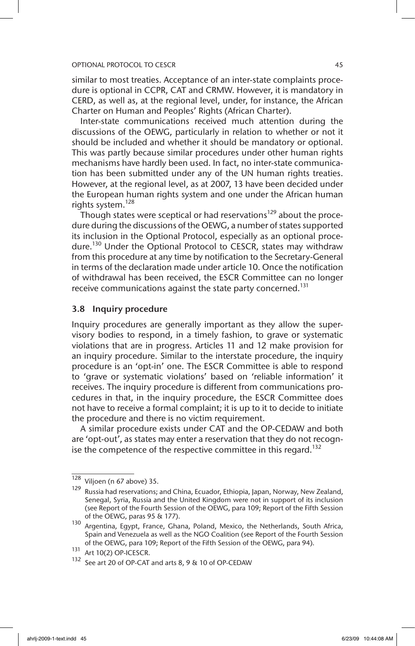similar to most treaties. Acceptance of an inter-state complaints procedure is optional in CCPR, CAT and CRMW. However, it is mandatory in CERD, as well as, at the regional level, under, for instance, the African Charter on Human and Peoples' Rights (African Charter).

Inter-state communications received much attention during the discussions of the OEWG, particularly in relation to whether or not it should be included and whether it should be mandatory or optional. This was partly because similar procedures under other human rights mechanisms have hardly been used. In fact, no inter-state communication has been submitted under any of the UN human rights treaties. However, at the regional level, as at 2007, 13 have been decided under the European human rights system and one under the African human rights system.<sup>128</sup>

Though states were sceptical or had reservations<sup>129</sup> about the procedure during the discussions of the OEWG, a number of states supported its inclusion in the Optional Protocol, especially as an optional procedure.<sup>130</sup> Under the Optional Protocol to CESCR, states may withdraw from this procedure at any time by notification to the Secretary-General in terms of the declaration made under article 10. Once the notification of withdrawal has been received, the ESCR Committee can no longer receive communications against the state party concerned.<sup>131</sup>

# 3.8 Inquiry procedure

Inquiry procedures are generally important as they allow the supervisory bodies to respond, in a timely fashion, to grave or systematic violations that are in progress. Articles 11 and 12 make provision for an inquiry procedure. Similar to the interstate procedure, the inquiry procedure is an 'opt-in' one. The ESCR Committee is able to respond to 'grave or systematic violations' based on 'reliable information' it receives. The inquiry procedure is different from communications procedures in that, in the inquiry procedure, the ESCR Committee does not have to receive a formal complaint; it is up to it to decide to initiate the procedure and there is no victim requirement.

A similar procedure exists under CAT and the OP-CEDAW and both are 'opt-out', as states may enter a reservation that they do not recognise the competence of the respective committee in this regard.<sup>132</sup>

 $\overline{128}$  Viljoen (n 67 above) 35.

<sup>129</sup> Russia had reservations; and China, Ecuador, Ethiopia, Japan, Norway, New Zealand, Senegal, Syria, Russia and the United Kingdom were not in support of its inclusion (see Report of the Fourth Session of the OEWG, para 109; Report of the Fifth Session of the OEWG, paras 95 & 177).

<sup>130</sup> Argentina, Egypt, France, Ghana, Poland, Mexico, the Netherlands, South Africa, Spain and Venezuela as well as the NGO Coalition (see Report of the Fourth Session of the OEWG, para 109; Report of the Fifth Session of the OEWG, para 94).

 $131$  Art 10(2) OP-ICESCR.

<sup>132</sup> See art 20 of OP-CAT and arts 8, 9 & 10 of OP-CEDAW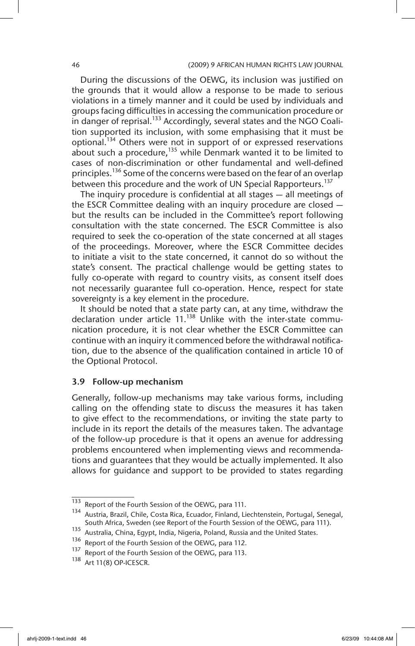During the discussions of the OEWG, its inclusion was justified on the grounds that it would allow a response to be made to serious violations in a timely manner and it could be used by individuals and groups facing difficulties in accessing the communication procedure or in danger of reprisal.<sup>133</sup> Accordingly, several states and the NGO Coalition supported its inclusion, with some emphasising that it must be optional.<sup>134</sup> Others were not in support of or expressed reservations about such a procedure, $135$  while Denmark wanted it to be limited to cases of non-discrimination or other fundamental and well-defined principles.<sup>136</sup> Some of the concerns were based on the fear of an overlap between this procedure and the work of UN Special Rapporteurs.<sup>137</sup>

The inquiry procedure is confidential at all stages — all meetings of the ESCR Committee dealing with an inquiry procedure are closed but the results can be included in the Committee's report following consultation with the state concerned. The ESCR Committee is also required to seek the co-operation of the state concerned at all stages of the proceedings. Moreover, where the ESCR Committee decides to initiate a visit to the state concerned, it cannot do so without the state's consent. The practical challenge would be getting states to fully co-operate with regard to country visits, as consent itself does not necessarily guarantee full co-operation. Hence, respect for state sovereignty is a key element in the procedure.

It should be noted that a state party can, at any time, withdraw the declaration under article  $11.^{138}$  Unlike with the inter-state communication procedure, it is not clear whether the ESCR Committee can continue with an inquiry it commenced before the withdrawal notification, due to the absence of the qualification contained in article 10 of the Optional Protocol.

# 3.9 Follow-up mechanism

Generally, follow-up mechanisms may take various forms, including calling on the offending state to discuss the measures it has taken to give effect to the recommendations, or inviting the state party to include in its report the details of the measures taken. The advantage of the follow-up procedure is that it opens an avenue for addressing problems encountered when implementing views and recommendations and guarantees that they would be actually implemented. It also allows for guidance and support to be provided to states regarding

<sup>133</sup> Report of the Fourth Session of the OEWG, para 111.

<sup>134</sup> Austria, Brazil, Chile, Costa Rica, Ecuador, Finland, Liechtenstein, Portugal, Senegal, South Africa, Sweden (see Report of the Fourth Session of the OEWG, para 111).

<sup>135</sup> Australia, China, Egypt, India, Nigeria, Poland, Russia and the United States.

<sup>136</sup> Report of the Fourth Session of the OEWG, para 112.<br> $137$  Beport of the Fourth Session of the OEWG, para 113

Report of the Fourth Session of the OEWG, para 113.

<sup>138</sup> Art 11(8) OP-ICESCR.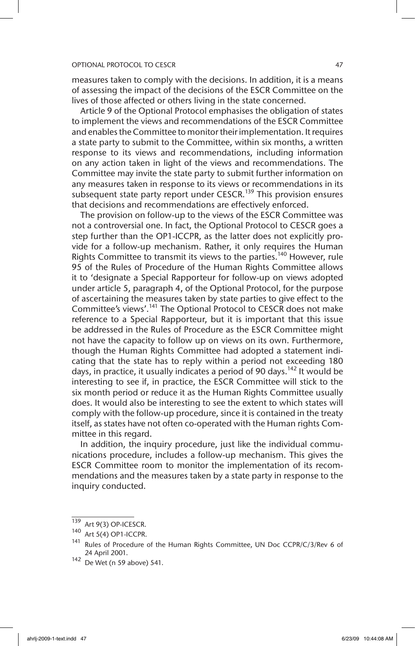#### OPTIONAL PROTOCOL TO CESCR AND A 27 YO FEMALE PROTOCOL TO CESCR

measures taken to comply with the decisions. In addition, it is a means of assessing the impact of the decisions of the ESCR Committee on the lives of those affected or others living in the state concerned.

Article 9 of the Optional Protocol emphasises the obligation of states to implement the views and recommendations of the ESCR Committee and enables the Committee to monitor their implementation. It requires a state party to submit to the Committee, within six months, a written response to its views and recommendations, including information on any action taken in light of the views and recommendations. The Committee may invite the state party to submit further information on any measures taken in response to its views or recommendations in its subsequent state party report under CESCR.<sup>139</sup> This provision ensures that decisions and recommendations are effectively enforced.

The provision on follow-up to the views of the ESCR Committee was not a controversial one. In fact, the Optional Protocol to CESCR goes a step further than the OP1-ICCPR, as the latter does not explicitly provide for a follow-up mechanism. Rather, it only requires the Human Rights Committee to transmit its views to the parties.<sup>140</sup> However, rule 95 of the Rules of Procedure of the Human Rights Committee allows it to 'designate a Special Rapporteur for follow-up on views adopted under article 5, paragraph 4, of the Optional Protocol, for the purpose of ascertaining the measures taken by state parties to give effect to the Committee's views'.<sup>141</sup> The Optional Protocol to CESCR does not make reference to a Special Rapporteur, but it is important that this issue be addressed in the Rules of Procedure as the ESCR Committee might not have the capacity to follow up on views on its own. Furthermore, though the Human Rights Committee had adopted a statement indicating that the state has to reply within a period not exceeding 180 days, in practice, it usually indicates a period of 90 days.<sup>142</sup> It would be interesting to see if, in practice, the ESCR Committee will stick to the six month period or reduce it as the Human Rights Committee usually does. It would also be interesting to see the extent to which states will comply with the follow-up procedure, since it is contained in the treaty itself, as states have not often co-operated with the Human rights Committee in this regard.

In addition, the inquiry procedure, just like the individual communications procedure, includes a follow-up mechanism. This gives the ESCR Committee room to monitor the implementation of its recommendations and the measures taken by a state party in response to the inquiry conducted.

<sup>139</sup> Art 9(3) OP-ICESCR.

<sup>140</sup> Art 5(4) OP1-ICCPR.

Rules of Procedure of the Human Rights Committee, UN Doc CCPR/C/3/Rev 6 of 24 April 2001.

<sup>142</sup> De Wet (n 59 above) 541.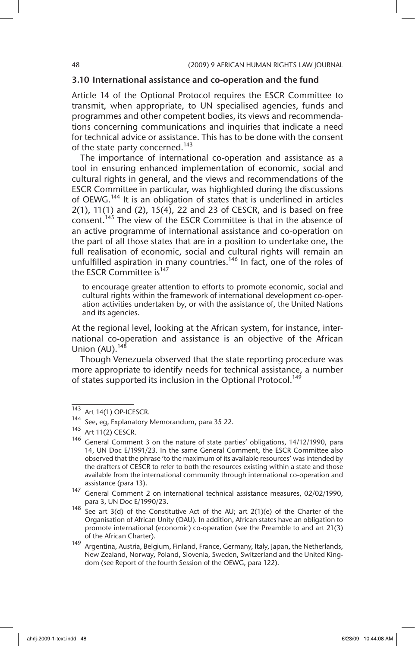# 3.10 International assistance and co-operation and the fund

Article 14 of the Optional Protocol requires the ESCR Committee to transmit, when appropriate, to UN specialised agencies, funds and programmes and other competent bodies, its views and recommendations concerning communications and inquiries that indicate a need for technical advice or assistance. This has to be done with the consent of the state party concerned.<sup>143</sup>

The importance of international co-operation and assistance as a tool in ensuring enhanced implementation of economic, social and cultural rights in general, and the views and recommendations of the ESCR Committee in particular, was highlighted during the discussions of OEWG.144 It is an obligation of states that is underlined in articles 2(1), 11(1) and (2), 15(4), 22 and 23 of CESCR, and is based on free consent.<sup>145</sup> The view of the ESCR Committee is that in the absence of an active programme of international assistance and co-operation on the part of all those states that are in a position to undertake one, the full realisation of economic, social and cultural rights will remain an unfulfilled aspiration in many countries.<sup>146</sup> In fact, one of the roles of the ESCR Committee is<sup>147</sup>

to encourage greater attention to efforts to promote economic, social and cultural rights within the framework of international development co-operation activities undertaken by, or with the assistance of, the United Nations and its agencies.

At the regional level, looking at the African system, for instance, international co-operation and assistance is an objective of the African Union  $(AU)$ .<sup>148</sup>

Though Venezuela observed that the state reporting procedure was more appropriate to identify needs for technical assistance, a number of states supported its inclusion in the Optional Protocol.<sup>149</sup>

 $\overline{143}$  Art 14(1) OP-ICESCR.

<sup>144</sup> See, eg, Explanatory Memorandum, para 35 22.

<sup>145</sup> Art 11(2) CESCR.

<sup>146</sup> General Comment 3 on the nature of state parties' obligations, 14/12/1990, para 14, UN Doc E/1991/23. In the same General Comment, the ESCR Committee also observed that the phrase 'to the maximum of its available resources' was intended by the drafters of CESCR to refer to both the resources existing within a state and those available from the international community through international co-operation and assistance (para 13).

<sup>147</sup> General Comment 2 on international technical assistance measures, 02/02/1990, para 3, UN Doc E/1990/23.

<sup>148</sup> See art 3(d) of the Constitutive Act of the AU; art 2(1)(e) of the Charter of the Organisation of African Unity (OAU). In addition, African states have an obligation to promote international (economic) co-operation (see the Preamble to and art 21(3) of the African Charter).

<sup>149</sup> Argentina, Austria, Belgium, Finland, France, Germany, Italy, Japan, the Netherlands, New Zealand, Norway, Poland, Slovenia, Sweden, Switzerland and the United Kingdom (see Report of the fourth Session of the OEWG, para 122).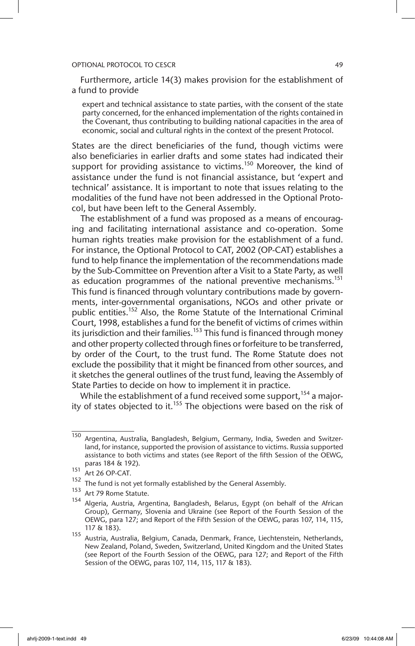Furthermore, article 14(3) makes provision for the establishment of a fund to provide

expert and technical assistance to state parties, with the consent of the state party concerned, for the enhanced implementation of the rights contained in the Covenant, thus contributing to building national capacities in the area of economic, social and cultural rights in the context of the present Protocol.

States are the direct beneficiaries of the fund, though victims were also beneficiaries in earlier drafts and some states had indicated their support for providing assistance to victims.<sup>150</sup> Moreover, the kind of assistance under the fund is not financial assistance, but 'expert and technical' assistance. It is important to note that issues relating to the modalities of the fund have not been addressed in the Optional Protocol, but have been left to the General Assembly.

The establishment of a fund was proposed as a means of encouraging and facilitating international assistance and co-operation. Some human rights treaties make provision for the establishment of a fund. For instance, the Optional Protocol to CAT, 2002 (OP-CAT) establishes a fund to help finance the implementation of the recommendations made by the Sub-Committee on Prevention after a Visit to a State Party, as well as education programmes of the national preventive mechanisms.<sup>151</sup> This fund is financed through voluntary contributions made by governments, inter-governmental organisations, NGOs and other private or public entities.<sup>152</sup> Also, the Rome Statute of the International Criminal Court, 1998, establishes a fund for the benefit of victims of crimes within its jurisdiction and their families.<sup>153</sup> This fund is financed through money and other property collected through fines or forfeiture to be transferred, by order of the Court, to the trust fund. The Rome Statute does not exclude the possibility that it might be financed from other sources, and it sketches the general outlines of the trust fund, leaving the Assembly of State Parties to decide on how to implement it in practice.

While the establishment of a fund received some support,  $154$  a majority of states objected to it.<sup>155</sup> The objections were based on the risk of

<sup>150</sup> Argentina, Australia, Bangladesh, Belgium, Germany, India, Sweden and Switzerland, for instance, supported the provision of assistance to victims. Russia supported assistance to both victims and states (see Report of the fifth Session of the OEWG, paras 184 & 192).

<sup>151</sup> Art 26 OP-CAT.

 $152$  The fund is not yet formally established by the General Assembly.

<sup>153</sup> Art 79 Rome Statute.

<sup>154</sup> Algeria, Austria, Argentina, Bangladesh, Belarus, Egypt (on behalf of the African Group), Germany, Slovenia and Ukraine (see Report of the Fourth Session of the OEWG, para 127; and Report of the Fifth Session of the OEWG, paras 107, 114, 115, 117 & 183).

<sup>155</sup> Austria, Australia, Belgium, Canada, Denmark, France, Liechtenstein, Netherlands, New Zealand, Poland, Sweden, Switzerland, United Kingdom and the United States (see Report of the Fourth Session of the OEWG, para 127; and Report of the Fifth Session of the OEWG, paras 107, 114, 115, 117 & 183).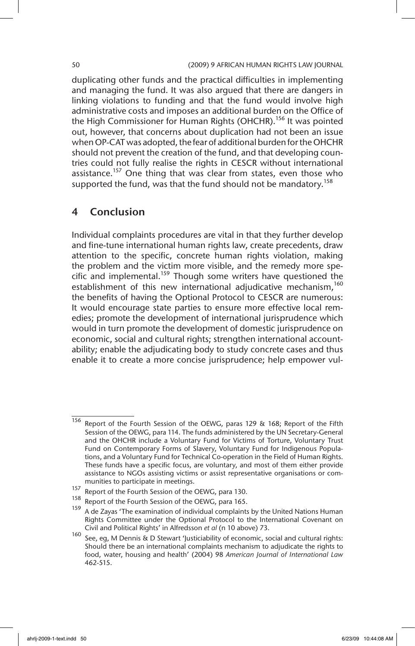duplicating other funds and the practical difficulties in implementing and managing the fund. It was also argued that there are dangers in linking violations to funding and that the fund would involve high administrative costs and imposes an additional burden on the Office of the High Commissioner for Human Rights (OHCHR).<sup>156</sup> It was pointed out, however, that concerns about duplication had not been an issue when OP-CAT was adopted, the fear of additional burden for the OHCHR should not prevent the creation of the fund, and that developing countries could not fully realise the rights in CESCR without international assistance.<sup>157</sup> One thing that was clear from states, even those who supported the fund, was that the fund should not be mandatory.<sup>158</sup>

# 4 Conclusion

Individual complaints procedures are vital in that they further develop and fine-tune international human rights law, create precedents, draw attention to the specific, concrete human rights violation, making the problem and the victim more visible, and the remedy more specific and implemental.<sup>159</sup> Though some writers have questioned the establishment of this new international adjudicative mechanism,<sup>160</sup> the benefits of having the Optional Protocol to CESCR are numerous: It would encourage state parties to ensure more effective local remedies; promote the development of international jurisprudence which would in turn promote the development of domestic jurisprudence on economic, social and cultural rights; strengthen international accountability; enable the adjudicating body to study concrete cases and thus enable it to create a more concise jurisprudence; help empower vul-

<sup>156</sup> Report of the Fourth Session of the OEWG, paras 129 & 168; Report of the Fifth Session of the OEWG, para 114. The funds administered by the UN Secretary-General and the OHCHR include a Voluntary Fund for Victims of Torture, Voluntary Trust Fund on Contemporary Forms of Slavery, Voluntary Fund for Indigenous Populations, and a Voluntary Fund for Technical Co-operation in the Field of Human Rights. These funds have a specific focus, are voluntary, and most of them either provide assistance to NGOs assisting victims or assist representative organisations or communities to participate in meetings.

<sup>&</sup>lt;sup>157</sup> Report of the Fourth Session of the OEWG, para 130.<br><sup>158</sup> Beneat of the Fourth Session of the OEWG, para 166.

Report of the Fourth Session of the OEWG, para 165.

A de Zayas 'The examination of individual complaints by the United Nations Human Rights Committee under the Optional Protocol to the International Covenant on Civil and Political Rights' in Alfredsson *et al* (n 10 above) 73.

<sup>160</sup> See, eg, M Dennis & D Stewart 'Justiciability of economic, social and cultural rights: Should there be an international complaints mechanism to adjudicate the rights to food, water, housing and health' (2004) 98 *American Journal of International Law* 462-515.